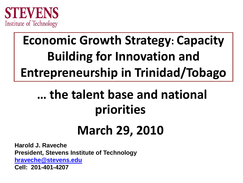

# **Economic Growth Strategy: Capacity Building for Innovation and Entrepreneurship in Trinidad/Tobago**

# **… the talent base and national priorities**

# **March 29, 2010**

**Harold J. Raveche President, Stevens Institute of Technology [hraveche@stevens.edu](mailto:hraveche@stevens.edu) Cell: 201-401-4207**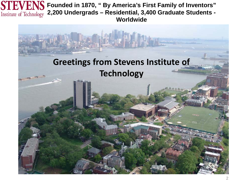

**STEVENS** Founded in 1870, " By America's First Family of Inventors" **2,200 Undergrads – Residential, 3,400 Graduate Students - Worldwide**

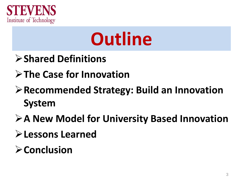

# **Outline**

- **Shared Definitions**
- **The Case for Innovation**
- **Recommended Strategy: Build an Innovation System**
- **A New Model for University Based Innovation**
- **Lessons Learned**
- **Conclusion**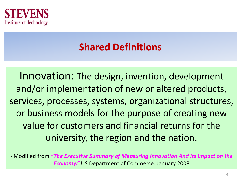

### **Shared Definitions**

Innovation: The design, invention, development and/or implementation of new or altered products, services, processes, systems, organizational structures, or business models for the purpose of creating new value for customers and financial returns for the university, the region and the nation.

- Modified from *"The Executive Summary of Measuring Innovation And Its Impact on the Economy."* US Department of Commerce. January 2008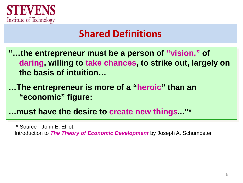

### **Shared Definitions**

- **"…the entrepreneur must be a person of "vision," of daring, willing to take chances, to strike out, largely on the basis of intuition…**
- **…The entrepreneur is more of a "heroic" than an "economic" figure:**
- **…must have the desire to create new things..."\***

Introduction to *The Theory of Economic Development* by Joseph A. Schumpeter

<sup>\*</sup> Source - John E. Elliot.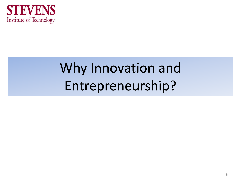

# Why Innovation and Entrepreneurship?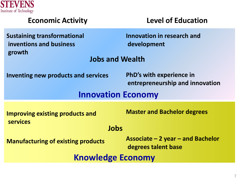

| <b>Economic Activity</b>                                                | <b>Level of Education</b>                                          |  |  |  |
|-------------------------------------------------------------------------|--------------------------------------------------------------------|--|--|--|
| <b>Sustaining transformational</b><br>inventions and business<br>growth | Innovation in research and<br>development                          |  |  |  |
| <b>Jobs and Wealth</b>                                                  |                                                                    |  |  |  |
| <b>Inventing new products and services</b>                              | <b>PhD's with experience in</b><br>entrepreneurship and innovation |  |  |  |
| <b>Innovation Economy</b>                                               |                                                                    |  |  |  |
| <b>Improving existing products and</b><br><b>services</b>               | <b>Master and Bachelor degrees</b>                                 |  |  |  |
| Jobs                                                                    |                                                                    |  |  |  |
| <b>Manufacturing of existing products</b>                               | Associate $-2$ year $-$ and Bachelor<br>degrees talent base        |  |  |  |
| <b>Knowledge Economy</b>                                                |                                                                    |  |  |  |
|                                                                         |                                                                    |  |  |  |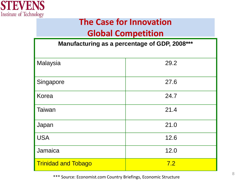

### **The Case for Innovation**

### **Global Competition**

| Manufacturing as a percentage of GDP, 2008*** |      |  |  |
|-----------------------------------------------|------|--|--|
| Malaysia                                      | 29.2 |  |  |
| Singapore                                     | 27.6 |  |  |
| Korea                                         | 24.7 |  |  |
| <b>Taiwan</b>                                 | 21.4 |  |  |
| Japan                                         | 21.0 |  |  |
| <b>USA</b>                                    | 12.6 |  |  |
| Jamaica                                       | 12.0 |  |  |
| <b>Trinidad and Tobago</b>                    | 7.2  |  |  |

<sup>8</sup> \*\*\* Source: Economist.com Country Briefings, Economic Structure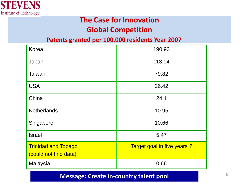

### **The Case for Innovation Global Competition**

#### **Patents granted per 100,000 residents Year 2007**

| Korea                                               | 190.93                     |  |
|-----------------------------------------------------|----------------------------|--|
| Japan                                               | 113.14                     |  |
| Taiwan                                              | 79.82                      |  |
| <b>USA</b>                                          | 26.42                      |  |
| China                                               | 24.1                       |  |
| <b>Netherlands</b>                                  | 10.95                      |  |
| Singapore                                           | 10.66                      |  |
| <b>Israel</b>                                       | 5.47                       |  |
| <b>Trinidad and Tobago</b><br>(could not find data) | Target goal in five years? |  |
| Malaysia                                            | 0.66                       |  |

#### **Message: Create in-country talent pool**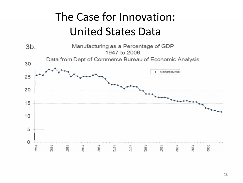## The Case for Innovation: United States Data

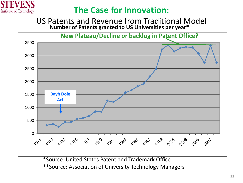

### **The Case for Innovation:**

US Patents and Revenue from Traditional Model **Number of Patents granted to US Universities per year\***



\*Source: United States Patent and Trademark Office \*\*Source: Association of University Technology Managers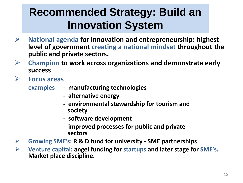### **Recommended Strategy: Build an Innovation System**

- **National agenda for innovation and entrepreneurship: highest level of government creating a national mindset throughout the public and private sectors.**
- **Champion to work across organizations and demonstrate early success**
- **Focus areas**
	- **examples - manufacturing technologies**
		- **- alternative energy**
		- **- environmental stewardship for tourism and society**
		- **- software development**
		- **- improved processes for public and private sectors**
- **Growing SME's: R & D fund for university - SME partnerships**
- **Venture capital: angel funding for startups and later stage for SME's. Market place discipline.**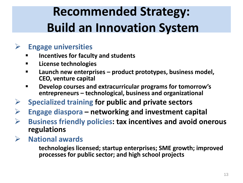# **Recommended Strategy: Build an Innovation System**

### **Engage universities**

- **Incentives for faculty and students**
- **License technologies**
- **Launch new enterprises – product prototypes, business model, CEO, venture capital**
- **Develop courses and extracurricular programs for tomorrow's entrepreneurs – technological, business and organizational**
- **Specialized training for public and private sectors**
- **Engage diaspora – networking and investment capital**
- **Business friendly policies: tax incentives and avoid onerous regulations**
- **National awards**

**technologies licensed; startup enterprises; SME growth; improved processes for public sector; and high school projects**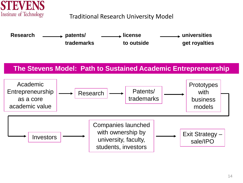

#### Traditional Research University Model



#### **The Stevens Model: Path to Sustained Academic Entrepreneurship**

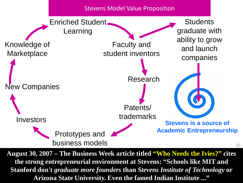Stevens Model Value Proposition



**August 30, 2007 – The Business Week article titled "Who Needs the Ivies?" cites the strong entrepreneurial environment at Stevens: "Schools like MIT and Stanford don't** *graduate more founders* **than** *Stevens Institute of Technology* **or Arizona State University. Even the famed Indian Institute ..."**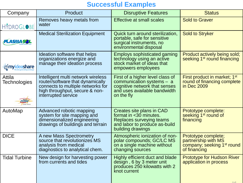#### **Successful Examples**

| Company                                      | Product                                                                                                                                                              | <b>Disruptive Features</b>                                                                                                                     | <b>Status</b>                                                                                        |
|----------------------------------------------|----------------------------------------------------------------------------------------------------------------------------------------------------------------------|------------------------------------------------------------------------------------------------------------------------------------------------|------------------------------------------------------------------------------------------------------|
| <b>HYDROGLOBE</b>                            | Removes heavy metals from<br>water                                                                                                                                   | <b>Effective at small scales</b>                                                                                                               | <b>Sold to Graver</b>                                                                                |
| LASMA SOL                                    | <b>Medical Sterilization Equipment</b>                                                                                                                               | Quick turn around sterilization,<br>portable, safe for sensitive<br>surgical instruments, no<br>environmental disposal                         | <b>Sold to Stryker</b>                                                                               |
| <b><i><u><del></del></u></i></b> myideashare | Ideation software that helps<br>organizations energize and<br>manage their ideation process                                                                          | <b>Employs sophisticated gaming</b><br>technology using an active<br>stock market of ideas that<br>empowers employees                          | Product actively being sold;<br>seeking 1 <sup>st</sup> round financing                              |
| Attila<br><b>Technologies</b>                | Intelligent multi network wireless<br>router/software that dynamically<br>connects to multiple networks for<br>high throughput, secure & non-<br>interrupted service | First of a higher level class of<br>communication systems $-$ a<br>cognitive network that senses<br>and uses available bandwidth<br>on the fly | First product in market; 1st<br>round of financing complete<br>in Dec 2009                           |
| AutoMap                                      | Advanced robotic mapping<br>system for site mapping and<br>dimensionalized engineering<br>drawings of buildings and terrain                                          | Creates site plans in CAD<br>format in <30 minutes.<br>Replaces surveying teams<br>and labor to produce as-build<br>building drawings          | Prototype complete:<br>seeking 1 <sup>st</sup> round of<br>financing                                 |
| <b>DICE</b>                                  | A new Mass Spectrometry<br>source that revolutionizes MS<br>analysis from medical<br>diagnostics to analytical chem.                                                 | Atmospheric ionization of non-<br>polar compounds; GC/LC MS<br>on a single machine without<br>changing sources                                 | Prototype complete;<br>partnership with MS<br>company; seeking 1 <sup>st</sup> round<br>of financing |
| <b>Tidal Turbine</b>                         | New design for harvesting power<br>from currents and tides                                                                                                           | Highly efficient duct and blade<br>design, 6 by 3 meter unit<br>produces 250 kilowatts with 2<br>knot current                                  | <b>Prototype for Hudson River</b><br>application in process                                          |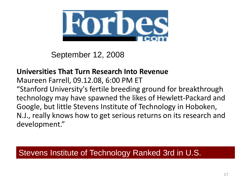

September 12, 2008

#### **Universities That Turn Research Into Revenue**

Maureen Farrell, 09.12.08, 6:00 PM ET "Stanford University's fertile breeding ground for breakthrough technology may have spawned the likes of Hewlett-Packard and Google, but little Stevens Institute of Technology in Hoboken, N.J., really knows how to get serious returns on its research and development."

### Stevens Institute of Technology Ranked 3rd in U.S.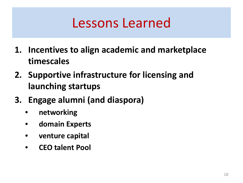# Lessons Learned

- **1. Incentives to align academic and marketplace timescales**
- **2. Supportive infrastructure for licensing and launching startups**
- **3. Engage alumni (and diaspora)**
	- **networking**
	- **domain Experts**
	- **venture capital**
	- **CEO talent Pool**